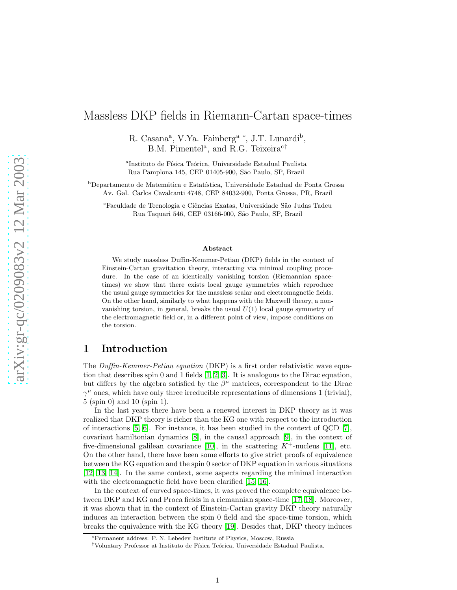# Massless DKP fields in Riemann-Cartan space-times

R. Casana<sup>a</sup>, V.Ya. Fainberg<sup>a</sup><sup>\*</sup>, J.T. Lunardi<sup>b</sup>, B.M. Pimentel<sup>a</sup>, and R.G. Teixeira<sup>c†</sup>

<sup>a</sup>Instituto de Física Teórica, Universidade Estadual Paulista Rua Pamplona 145, CEP 01405-900, São Paulo, SP, Brazil

<sup>b</sup>Departamento de Matemática e Estatística, Universidade Estadual de Ponta Grossa Av. Gal. Carlos Cavalcanti 4748, CEP 84032-900, Ponta Grossa, PR, Brazil

<sup>c</sup>Faculdade de Tecnologia e Ciências Exatas, Universidade São Judas Tadeu Rua Taquari 546, CEP 03166-000, S˜ao Paulo, SP, Brazil

#### Abstract

We study massless Duffin-Kemmer-Petiau (DKP) fields in the context of Einstein-Cartan gravitation theory, interacting via minimal coupling procedure. In the case of an identically vanishing torsion (Riemannian spacetimes) we show that there exists local gauge symmetries which reproduce the usual gauge symmetries for the massless scalar and electromagnetic fields. On the other hand, similarly to what happens with the Maxwell theory, a nonvanishing torsion, in general, breaks the usual  $U(1)$  local gauge symmetry of the electromagnetic field or, in a different point of view, impose conditions on the torsion.

# 1 Introduction

The Duffin-Kemmer-Petiau equation (DKP) is a first order relativistic wave equation that describes spin 0 and 1 fields [\[1,](#page-8-0) [2,](#page-8-1) [3\]](#page-8-2). It is analogous to the Dirac equation, but differs by the algebra satisfied by the  $\beta^{\mu}$  matrices, correspondent to the Dirac  $\gamma^{\mu}$  ones, which have only three irreducible representations of dimensions 1 (trivial), 5 (spin 0) and 10 (spin 1).

In the last years there have been a renewed interest in DKP theory as it was realized that DKP theory is richer than the KG one with respect to the introduction of interactions  $[5, 6]$  $[5, 6]$ . For instance, it has been studied in the context of QCD  $[7]$ , covariant hamiltonian dynamics [\[8\]](#page-9-0), in the causal approach [9], in the context of five-dimensional galilean covariance [\[10\]](#page-9-1), in the scattering  $K^+$ -nucleus [\[11\]](#page-9-2), etc. On the other hand, there have been some efforts to give strict proofs of equivalence between the KG equation and the spin 0 sector of DKP equation in various situations [12, 13, 14]. In the same context, some aspects regarding the minimal interaction with the electromagnetic field have been clarified [15, [16\]](#page-9-3).

In the context of curved space-times, it was proved the complete equivalence between DKP and KG and Proca fields in a riemannian space-time [17, [18\]](#page-9-4). Moreover, it was shown that in the context of Einstein-Cartan gravity DKP theory naturally induces an interaction between the spin 0 field and the space-time torsion, which breaks the equivalence with the KG theory [19]. Besides that, DKP theory induces

<sup>∗</sup>Permanent address: P. N. Lebedev Institute of Physics, Moscow, Russia

<sup>&</sup>lt;sup>†</sup>Voluntary Professor at Instituto de Física Teórica, Universidade Estadual Paulista.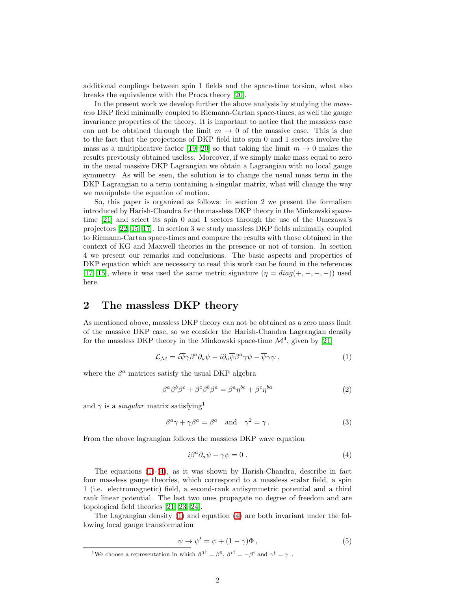additional couplings between spin 1 fields and the space-time torsion, what also breaks the equivalence with the Proca theory [\[20\]](#page-9-5).

In the present work we develop further the above analysis by studying the massless DKP field minimally coupled to Riemann-Cartan space-times, as well the gauge invariance properties of the theory. It is important to notice that the massless case can not be obtained through the limit  $m \to 0$  of the massive case. This is due to the fact that the projections of DKP field into spin 0 and 1 sectors involve the mass as a multiplicative factor [19, [20\]](#page-9-5) so that taking the limit  $m \to 0$  makes the results previously obtained useless. Moreover, if we simply make mass equal to zero in the usual massive DKP Lagrangian we obtain a Lagrangian with no local gauge symmetry. As will be seen, the solution is to change the usual mass term in the DKP Lagrangian to a term containing a singular matrix, what will change the way we manipulate the equation of motion.

So, this paper is organized as follows: in section 2 we present the formalism introduced by Harish-Chandra for the massless DKP theory in the Minkowski spacetime [\[21\]](#page-9-6) and select its spin 0 and 1 sectors through the use of the Umezawa's projectors [\[22,](#page-9-7) 15, 17]. In section 3 we study massless DKP fields minimally coupled to Riemann-Cartan space-times and compare the results with those obtained in the context of KG and Maxwell theories in the presence or not of torsion. In section 4 we present our remarks and conclusions. The basic aspects and properties of DKP equation which are necessary to read this work can be found in the references [17, 15], where it was used the same metric signature  $(\eta = diag(+, -, -, -))$  used here.

# 2 The massless DKP theory

As mentioned above, massless DKP theory can not be obtained as a zero mass limit of the massive DKP case, so we consider the Harish-Chandra Lagrangian density for the massless DKP theory in the Minkowski space-time  $\mathcal{M}^4$ , given by [\[21\]](#page-9-6)

<span id="page-1-0"></span>
$$
\mathcal{L}_{\mathcal{M}} = i\overline{\psi}\gamma\beta^{a}\partial_{a}\psi - i\partial_{a}\overline{\psi}\beta^{a}\gamma\psi - \overline{\psi}\gamma\psi , \qquad (1)
$$

where the  $\beta^a$  matrices satisfy the usual DKP algebra

<span id="page-1-4"></span><span id="page-1-2"></span>
$$
\beta^a \beta^b \beta^c + \beta^c \beta^b \beta^a = \beta^a \eta^{bc} + \beta^c \eta^{ba} \tag{2}
$$

and  $\gamma$  is a *singular* matrix satisfying<sup>1</sup>

$$
\beta^a \gamma + \gamma \beta^a = \beta^a \quad \text{and} \quad \gamma^2 = \gamma \,. \tag{3}
$$

From the above lagrangian follows the massless DKP wave equation

<span id="page-1-1"></span>
$$
i\beta^a \partial_a \psi - \gamma \psi = 0. \tag{4}
$$

The equations  $(1)-(4)$  $(1)-(4)$ , as it was shown by Harish-Chandra, describe in fact four massless gauge theories, which correspond to a massless scalar field, a spin 1 (i.e. electromagnetic) field, a second-rank antisymmetric potential and a third rank linear potential. The last two ones propagate no degree of freedom and are topological field theories [\[21,](#page-9-6) [23,](#page-9-8) [24\]](#page-9-9).

The Lagrangian density [\(1\)](#page-1-0) and equation [\(4\)](#page-1-1) are both invariant under the following local gauge transformation

<span id="page-1-3"></span>
$$
\psi \to \psi' = \psi + (1 - \gamma)\Phi , \qquad (5)
$$

<sup>&</sup>lt;sup>1</sup>We choose a representation in which  $\beta^{0^{\dagger}} = \beta^0$ ,  $\beta^{i^{\dagger}} = -\beta^i$  and  $\gamma^{\dagger} = \gamma$ .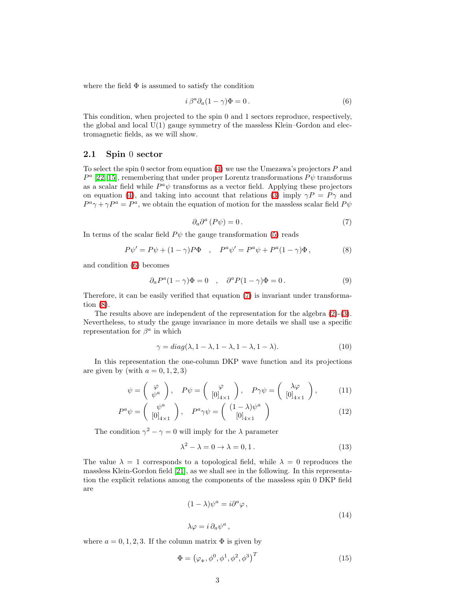where the field  $\Phi$  is assumed to satisfy the condition

<span id="page-2-0"></span>
$$
i \beta^a \partial_a (1 - \gamma) \Phi = 0. \tag{6}
$$

This condition, when projected to the spin 0 and 1 sectors reproduce, respectively, the global and local  $U(1)$  gauge symmetry of the massless Klein–Gordon and electromagnetic fields, as we will show.

### <span id="page-2-5"></span>2.1 Spin 0 sector

To select the spin 0 sector from equation  $(4)$  we use the Umezawa's projectors P and  $P^a$  [\[22,](#page-9-7) 15], remembering that under proper Lorentz transformations  $P\psi$  transforms as a scalar field while  $P^a\psi$  transforms as a vector field. Applying these projectors on equation [\(4\)](#page-1-1), and taking into account that relations [\(3\)](#page-1-2) imply  $\gamma P = P \gamma$  and  $P^a \gamma + \gamma P^a = P^a$ , we obtain the equation of motion for the massless scalar field  $P\psi$ 

<span id="page-2-2"></span>
$$
\partial_a \partial^a (P \psi) = 0. \tag{7}
$$

<span id="page-2-1"></span>In terms of the scalar field  $P\psi$  the gauge transformation [\(5\)](#page-1-3) reads

<span id="page-2-3"></span>
$$
P\psi' = P\psi + (1 - \gamma)P\Phi , \quad P^a\psi' = P^a\psi + P^a(1 - \gamma)\Phi , \tag{8}
$$

and condition [\(6\)](#page-2-0) becomes

$$
\partial_a P^a (1 - \gamma) \Phi = 0 \quad , \quad \partial^a P (1 - \gamma) \Phi = 0 \,. \tag{9}
$$

Therefore, it can be easily verified that equation [\(7\)](#page-2-1) is invariant under transformation [\(8\)](#page-2-2).

The results above are independent of the representation for the algebra [\(2\)](#page-1-4)-[\(3\)](#page-1-2). Nevertheless, to study the gauge invariance in more details we shall use a specific representation for  $\beta^a$  in which

$$
\gamma = diag(\lambda, 1 - \lambda, 1 - \lambda, 1 - \lambda, 1 - \lambda).
$$
 (10)

In this representation the one-column DKP wave function and its projections are given by (with  $a = 0, 1, 2, 3$ )

$$
\psi = \begin{pmatrix} \varphi \\ \psi^a \end{pmatrix}, \quad P\psi = \begin{pmatrix} \varphi \\ [0]_{4\times 1} \end{pmatrix}, \quad P\gamma\psi = \begin{pmatrix} \lambda\varphi \\ [0]_{4\times 1} \end{pmatrix}, \tag{11}
$$

$$
P^{a}\psi = \begin{pmatrix} \psi^{a} \\ [0]_{4\times 1} \end{pmatrix}, \quad P^{a}\gamma\psi = \begin{pmatrix} (1-\lambda)\psi^{a} \\ [0]_{4\times 1} \end{pmatrix}
$$
 (12)

The condition  $\gamma^2 - \gamma = 0$  will imply for the  $\lambda$  parameter

$$
\lambda^2 - \lambda = 0 \to \lambda = 0, 1. \tag{13}
$$

The value  $\lambda = 1$  corresponds to a topological field, while  $\lambda = 0$  reproduces the massless Klein-Gordon field [\[21\]](#page-9-6), as we shall see in the following. In this representation the explicit relations among the components of the massless spin 0 DKP field are

<span id="page-2-4"></span>
$$
(1 - \lambda)\psi^{a} = i\partial^{a}\varphi ,
$$
  
\n
$$
\lambda\varphi = i\,\partial_{a}\psi^{a} ,
$$
\n(14)

where  $a = 0, 1, 2, 3$ . If the column matrix  $\Phi$  is given by

<span id="page-2-6"></span>
$$
\Phi = (\varphi_{\Phi}, \phi^0, \phi^1, \phi^2, \phi^3)^T \tag{15}
$$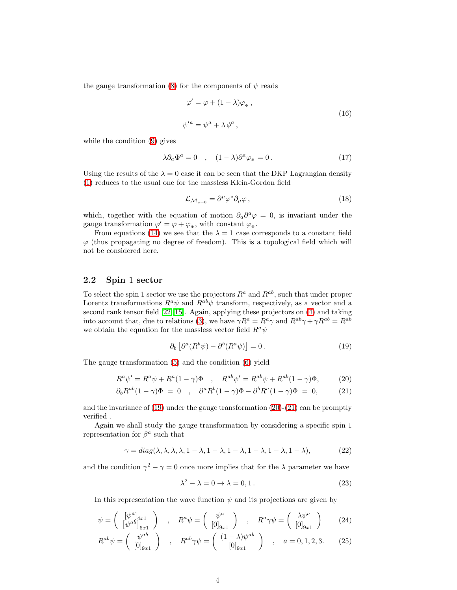the gauge transformation [\(8\)](#page-2-2) for the components of  $\psi$  reads

$$
\varphi' = \varphi + (1 - \lambda)\varphi_{\Phi} ,
$$
  
\n
$$
\psi'^a = \psi^a + \lambda \phi^a ,
$$
\n(16)

while the condition [\(9\)](#page-2-3) gives

$$
\lambda \partial_a \Phi^a = 0 \quad , \quad (1 - \lambda) \partial^a \varphi_{\Phi} = 0 \,. \tag{17}
$$

Using the results of the  $\lambda = 0$  case it can be seen that the DKP Lagrangian density [\(1\)](#page-1-0) reduces to the usual one for the massless Klein-Gordon field

$$
\mathcal{L}_{\mathcal{M}_{s=0}} = \partial^{\mu} \varphi^* \partial_{\mu} \varphi , \qquad (18)
$$

which, together with the equation of motion  $\partial_a \partial^a \varphi = 0$ , is invariant under the gauge transformation  $\varphi' = \varphi + \varphi_{\Phi}$ , with constant  $\varphi_{\Phi}$ .

From equations [\(14\)](#page-2-4) we see that the  $\lambda = 1$  case corresponds to a constant field  $\varphi$  (thus propagating no degree of freedom). This is a topological field which will not be considered here.

## <span id="page-3-3"></span>2.2 Spin 1 sector

To select the spin 1 sector we use the projectors  $R^a$  and  $R^{ab}$ , such that under proper Lorentz transformations  $R^a \psi$  and  $R^{ab} \psi$  transform, respectively, as a vector and a second rank tensor field [\[22,](#page-9-7) 15]. Again, applying these projectors on [\(4\)](#page-1-1) and taking into account that, due to relations [\(3\)](#page-1-2), we have  $\gamma R^a = R^a \gamma$  and  $R^{ab}\gamma + \gamma R^{ab} = R^{ab}$ we obtain the equation for the massless vector field  $R^a\psi$ 

<span id="page-3-2"></span><span id="page-3-1"></span><span id="page-3-0"></span>
$$
\partial_b \left[ \partial^a (R^b \psi) - \partial^b (R^a \psi) \right] = 0. \tag{19}
$$

The gauge transformation [\(5\)](#page-1-3) and the condition [\(6\)](#page-2-0) yield

$$
R^{a}\psi' = R^{a}\psi + R^{a}(1-\gamma)\Phi \quad , \quad R^{ab}\psi' = R^{ab}\psi + R^{ab}(1-\gamma)\Phi, \tag{20}
$$

$$
\partial_b R^{ab} (1 - \gamma) \Phi = 0 \quad , \quad \partial^a R^b (1 - \gamma) \Phi - \partial^b R^a (1 - \gamma) \Phi = 0, \tag{21}
$$

and the invariance of  $(19)$  under the gauge transformation  $(20)-(21)$  $(20)-(21)$  can be promptly verified .

Again we shall study the gauge transformation by considering a specific spin 1 representation for  $\beta^a$  such that

$$
\gamma = diag(\lambda, \lambda, \lambda, \lambda, 1 - \lambda, 1 - \lambda, 1 - \lambda, 1 - \lambda, 1 - \lambda, 1 - \lambda),
$$
\n(22)

and the condition  $\gamma^2 - \gamma = 0$  once more implies that for the  $\lambda$  parameter we have

$$
\lambda^2 - \lambda = 0 \to \lambda = 0, 1. \tag{23}
$$

In this representation the wave function  $\psi$  and its projections are given by

$$
\psi = \begin{pmatrix} [\psi^a]_{4x1} \\ [\psi^{ab}]_{6x1} \end{pmatrix} , R^a \psi = \begin{pmatrix} \psi^a \\ [0]_{9x1} \end{pmatrix} , R^a \gamma \psi = \begin{pmatrix} \lambda \psi^a \\ [0]_{9x1} \end{pmatrix} (24)
$$

$$
R^{ab}\psi = \begin{pmatrix} \psi^{ab} \\ [0]_{9x1} \end{pmatrix} , R^{ab}\gamma\psi = \begin{pmatrix} (1-\lambda)\psi^{ab} \\ [0]_{9x1} \end{pmatrix} , a = 0, 1, 2, 3. \qquad (25)
$$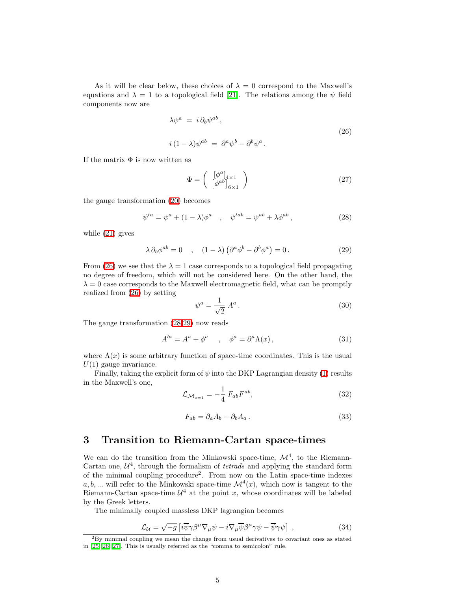As it will be clear below, these choices of  $\lambda = 0$  correspond to the Maxwell's equations and  $\lambda = 1$  to a topological field [\[21\]](#page-9-6). The relations among the  $\psi$  field components now are

$$
\lambda \psi^a = i \partial_b \psi^{ab} ,
$$
  
\n
$$
i (1 - \lambda) \psi^{ab} = \partial^a \psi^b - \partial^b \psi^a .
$$
\n(26)

If the matrix  $\Phi$  is now written as

<span id="page-4-0"></span>
$$
\Phi = \left(\begin{array}{c} [\phi^a]_{4 \times 1} \\ [\phi^{ab}]_{6 \times 1} \end{array}\right) \tag{27}
$$

the gauge transformation [\(20\)](#page-3-1) becomes

<span id="page-4-1"></span>
$$
\psi'^a = \psi^a + (1 - \lambda)\phi^a \quad , \quad \psi'^{ab} = \psi^{ab} + \lambda\phi^{ab} \,, \tag{28}
$$

<span id="page-4-2"></span>while [\(21\)](#page-3-2) gives

$$
\lambda \partial_b \phi^{ab} = 0 \quad , \quad (1 - \lambda) \left( \partial^a \phi^b - \partial^b \phi^a \right) = 0 \,. \tag{29}
$$

From [\(26\)](#page-4-0) we see that the  $\lambda = 1$  case corresponds to a topological field propagating no degree of freedom, which will not be considered here. On the other hand, the  $\lambda = 0$  case corresponds to the Maxwell electromagnetic field, what can be promptly realized from [\(26\)](#page-4-0) by setting

$$
\psi^a = \frac{1}{\sqrt{2}} A^a \,. \tag{30}
$$

The gauge transformation [\(28](#page-4-1)[-29\)](#page-4-2) now reads

$$
A'^a = A^a + \phi^a \quad , \quad \phi^a = \partial^a \Lambda(x) \,, \tag{31}
$$

where  $\Lambda(x)$  is some arbitrary function of space-time coordinates. This is the usual  $U(1)$  gauge invariance.

Finally, taking the explicit form of  $\psi$  into the DKP Lagrangian density [\(1\)](#page-1-0) results in the Maxwell's one,

$$
\mathcal{L}_{\mathcal{M}_{s=1}} = -\frac{1}{4} F_{ab} F^{ab},\tag{32}
$$

$$
F_{ab} = \partial_a A_b - \partial_b A_a \,. \tag{33}
$$

# 3 Transition to Riemann-Cartan space-times

We can do the transition from the Minkowski space-time,  $\mathcal{M}^4$ , to the Riemann-Cartan one,  $\mathcal{U}^4$ , through the formalism of *tetrads* and applying the standard form of the minimal coupling procedure<sup>2</sup> . From now on the Latin space-time indexes  $a, b, \dots$  will refer to the Minkowski space-time  $\mathcal{M}^4(x)$ , which now is tangent to the Riemann-Cartan space-time  $\mathcal{U}^4$  at the point x, whose coordinates will be labeled by the Greek letters.

The minimally coupled massless DKP lagrangian becomes

<span id="page-4-3"></span>
$$
\mathcal{L}_{\mathcal{U}} = \sqrt{-g} \left[ i \overline{\psi} \gamma \beta^{\mu} \nabla_{\mu} \psi - i \nabla_{\mu} \overline{\psi} \beta^{\mu} \gamma \psi - \overline{\psi} \gamma \psi \right] , \qquad (34)
$$

<sup>2</sup>By minimal coupling we mean the change from usual derivatives to covariant ones as stated in [\[25,](#page-9-10) [26,](#page-9-11) [27\]](#page-9-12). This is usually referred as the "comma to semicolon" rule.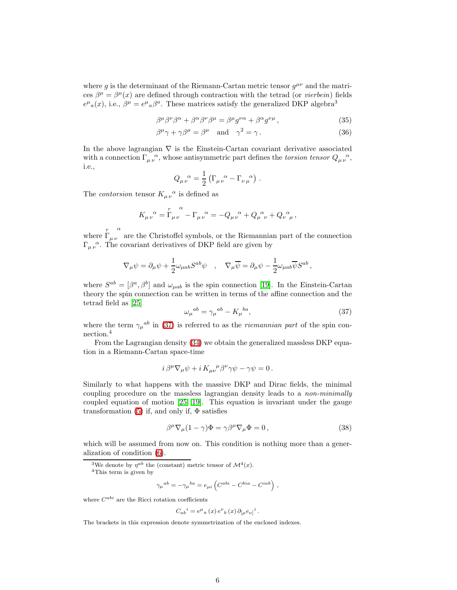where g is the determinant of the Riemann-Cartan metric tensor  $g^{\mu\nu}$  and the matrices  $\beta^{\mu} = \beta^{\mu}(x)$  are defined through contraction with the tetrad (or *vierbein*) fields  $e^{\mu}{}_{a}(x)$ , i.e.,  $\beta^{\mu} = e^{\mu}{}_{a}\beta^{a}$ . These matrices satisfy the generalized DKP algebra<sup>3</sup>

$$
\beta^{\mu}\beta^{\nu}\beta^{\alpha} + \beta^{\alpha}\beta^{\nu}\beta^{\mu} = \beta^{\mu}g^{\nu\alpha} + \beta^{\alpha}g^{\nu\mu}, \qquad (35)
$$

$$
\beta^{\mu}\gamma + \gamma\beta^{\mu} = \beta^{\mu} \quad \text{and} \quad \gamma^{2} = \gamma. \tag{36}
$$

In the above lagrangian  $\nabla$  is the Einstein-Cartan covariant derivative associated with a connection  $\Gamma_{\mu\nu}^{\,\,\,\,\alpha}$ , whose antisymmetric part defines the *torsion tensor*  $Q_{\mu\nu}^{\,\,\,\,\alpha}$ , i.e.,

$$
Q_{\mu\nu}^{\quad \alpha} = \frac{1}{2} \left( \Gamma_{\mu\nu}^{\quad \alpha} - \Gamma_{\nu\mu}^{\quad \alpha} \right) .
$$

The *contorsion* tensor  $K_{\mu\nu}^{\alpha}$  is defined as

$$
K_{\mu\nu}^{\ \alpha} = \Gamma_{\mu\nu}^{\ \alpha} - \Gamma_{\mu\nu}^{\ \alpha} = -Q_{\mu\nu}^{\ \alpha} + Q_{\mu\ \nu}^{\ \alpha} + Q_{\nu\ \mu}^{\ \alpha} ,
$$

where  $\overline{\Gamma}$ α  $\mu\nu$  are the Christoffel symbols, or the Riemannian part of the connection  $\Gamma_{\mu\nu}^{\,\,\,\,\alpha}$ . The covariant derivatives of DKP field are given by

$$
\nabla_{\mu}\psi = \partial_{\mu}\psi + \frac{1}{2}\omega_{\mu ab}S^{ab}\psi \quad , \quad \nabla_{\mu}\overline{\psi} = \partial_{\mu}\psi - \frac{1}{2}\omega_{\mu ab}\overline{\psi}S^{ab} \,,
$$

<span id="page-5-0"></span>where  $S^{ab} = [\beta^a, \beta^b]$  and  $\omega_{\mu ab}$  is the spin connection [19]. In the Einstein-Cartan theory the spin connection can be written in terms of the affine connection and the tetrad field as [\[25\]](#page-9-10)

$$
\omega_{\mu}{}^{ab} = \gamma_{\mu}{}^{ab} - K_{\mu}{}^{ba},\tag{37}
$$

where the term  $\gamma_{\mu}{}^{ab}$  in [\(37\)](#page-5-0) is referred to as the *riemannian part* of the spin connection.<sup>4</sup>

From the Lagrangian density [\(34\)](#page-4-3) we obtain the generalized massless DKP equation in a Riemann-Cartan space-time

$$
i\,\beta^{\mu}\nabla_{\mu}\psi + i\,K_{\mu\nu}{}^{\mu}\beta^{\nu}\gamma\psi - \gamma\psi = 0\,.
$$

Similarly to what happens with the massive DKP and Dirac fields, the minimal coupling procedure on the massless lagrangian density leads to a non-minimally coupled equation of motion [\[25,](#page-9-10) 19]. This equation is invariant under the gauge transformation [\(5\)](#page-1-3) if, and only if,  $\Phi$  satisfies

<span id="page-5-1"></span>
$$
\beta^{\mu}\nabla_{\mu}(1-\gamma)\Phi = \gamma\beta^{\mu}\nabla_{\mu}\Phi = 0, \qquad (38)
$$

which will be assumed from now on. This condition is nothing more than a generalization of condition [\(6\)](#page-2-0).

$$
\gamma_{\mu}{}^{ab}=-\gamma_{\mu}{}^{ba}=e_{\mu i}\left(C^{abi}-C^{bia}-C^{i ab}\right)\,,
$$

where  $C^{abi}$  are the Ricci rotation coefficients

$$
C_{ab}{}^i = e^{\mu}{}_a(x) e^{\nu}{}_b(x) \partial_{[\mu} e_{\nu]}{}^i.
$$

The brackets in this expression denote symmetrization of the enclosed indexes.

<sup>&</sup>lt;sup>3</sup>We denote by  $\eta^{ab}$  the (constant) metric tensor of  $\mathcal{M}^4(x)$ .

<sup>4</sup>This term is given by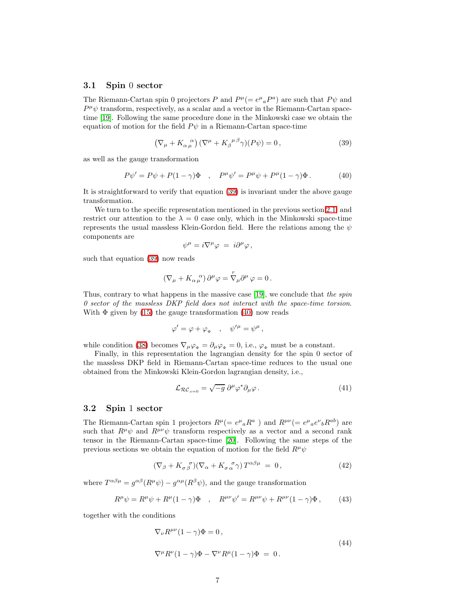## 3.1 Spin 0 sector

The Riemann-Cartan spin 0 projectors P and  $P^{\mu} (= e^{\mu}{}_{a}P^{a})$  are such that  $P\psi$  and  $P^{\mu}\psi$  transform, respectively, as a scalar and a vector in the Riemann-Cartan spacetime [19]. Following the same procedure done in the Minkowski case we obtain the equation of motion for the field  $P\psi$  in a Riemann-Cartan space-time

<span id="page-6-1"></span><span id="page-6-0"></span>
$$
\left(\nabla_{\mu} + K_{\alpha \mu}^{\ \alpha}\right)(\nabla^{\mu} + K_{\beta}^{\ \mu \beta} \gamma)(P\psi) = 0, \qquad (39)
$$

as well as the gauge transformation

$$
P\psi' = P\psi + P(1 - \gamma)\Phi \quad , \quad P^{\mu}\psi' = P^{\mu}\psi + P^{\mu}(1 - \gamma)\Phi \,. \tag{40}
$$

It is straightforward to verify that equation [\(39\)](#page-6-0) is invariant under the above gauge transformation.

We turn to the specific representation mentioned in the previous section [2.1,](#page-2-5) and restrict our attention to the  $\lambda = 0$  case only, which in the Minkowski space-time represents the usual massless Klein-Gordon field. Here the relations among the  $\psi$ components are

$$
\psi^{\mu} = i \nabla^{\mu} \varphi = i \partial^{\mu} \varphi ,
$$

such that equation [\(39\)](#page-6-0) now reads

$$
\left(\nabla_\mu+K_{\alpha\,\mu}^{\quad \alpha}\right)\partial^\mu\varphi=\overset{r}{\nabla}_\mu\partial^\mu\,\varphi=0\,.
$$

Thus, contrary to what happens in the massive case [19], we conclude that the spin 0 sector of the massless DKP field does not interact with the space-time torsion. With  $\Phi$  given by [\(15\)](#page-2-6) the gauge transformation [\(40\)](#page-6-1) now reads

$$
\varphi' = \varphi + \varphi_{\Phi} \quad , \quad \psi'^{\mu} = \psi^{\mu} \, ,
$$

while condition [\(38\)](#page-5-1) becomes  $\nabla_{\mu}\varphi_{\Phi} = \partial_{\mu}\varphi_{\Phi} = 0$ , i.e.,  $\varphi_{\Phi}$  must be a constant.

Finally, in this representation the lagrangian density for the spin 0 sector of the massless DKP field in Riemann-Cartan space-time reduces to the usual one obtained from the Minkowski Klein-Gordon lagrangian density, i.e.,

<span id="page-6-2"></span>
$$
\mathcal{L}_{\mathcal{RC}_{s=0}} = \sqrt{-g} \; \partial^{\mu} \varphi^* \partial_{\mu} \varphi \,. \tag{41}
$$

### 3.2 Spin 1 sector

The Riemann-Cartan spin 1 projectors  $R^{\mu}$ (=  $e^{\mu}{}_{a}R^{a}$ ) and  $R^{\mu\nu}$ (=  $e^{\mu}{}_{a}e^{\nu}{}_{b}R^{ab}$ ) are such that  $R^{\mu\nu}\psi$  and  $R^{\mu\nu}\psi$  transform respectively as a vector and a second rank tensor in the Riemann-Cartan space-time [\[20\]](#page-9-5). Following the same steps of the previous sections we obtain the equation of motion for the field  $R^{\mu}\psi$ 

<span id="page-6-3"></span>
$$
(\nabla_{\beta} + K_{\sigma\beta}^{\ \sigma})(\nabla_{\alpha} + K_{\sigma\alpha}^{\ \sigma}\gamma)T^{\alpha\beta\mu} = 0, \qquad (42)
$$

where  $T^{\alpha\beta\mu} = g^{\alpha\beta}(R^{\mu}\psi) - g^{\alpha\mu}(R^{\beta}\psi)$ , and the gauge transformation

$$
R^{\mu}\psi = R^{\mu}\psi + R^{\mu}(1-\gamma)\Phi \quad , \quad R^{\mu\nu}\psi' = R^{\mu\nu}\psi + R^{\mu\nu}(1-\gamma)\Phi \,, \tag{43}
$$

together with the conditions

<span id="page-6-4"></span>
$$
\nabla_{\nu} R^{\mu\nu} (1 - \gamma) \Phi = 0,
$$
  

$$
\nabla^{\mu} R^{\nu} (1 - \gamma) \Phi - \nabla^{\nu} R^{\mu} (1 - \gamma) \Phi = 0.
$$
 (44)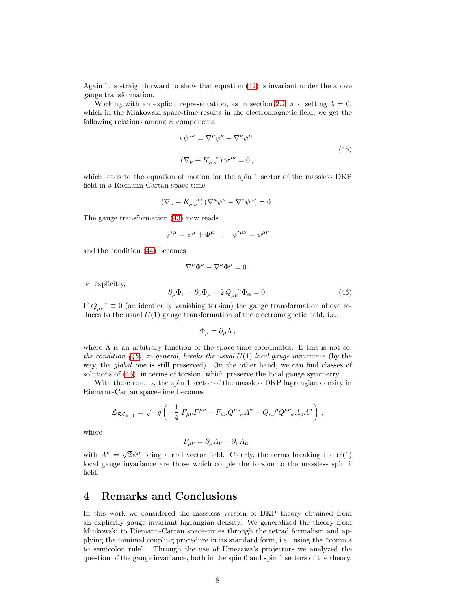Again it is straightforward to show that equation [\(42\)](#page-6-2) is invariant under the above gauge transformation.

Working with an explicit representation, as in section [2.2,](#page-3-3) and setting  $\lambda = 0$ , which in the Minkowski space-time results in the electromagnetic field, we get the following relations among  $\psi$  components

$$
i \psi^{\mu\nu} = \nabla^{\mu} \psi^{\nu} - \nabla^{\nu} \psi^{\mu},
$$
  

$$
(\nabla_{\nu} + K_{\sigma \nu}{}^{\sigma}) \psi^{\mu\nu} = 0,
$$
 (45)

which leads to the equation of motion for the spin 1 sector of the massless DKP field in a Riemann-Cartan space-time

$$
\left(\nabla_{\nu} + K_{\sigma \nu}^{\ \sigma}\right)\left(\nabla^{\mu}\psi^{\nu} - \nabla^{\nu}\psi^{\mu}\right) = 0.
$$

The gauge transformation [\(43\)](#page-6-3) now reads

$$
\psi^{\prime \mu} = \psi^{\mu} + \Phi^{\mu} \quad , \quad \psi^{\prime \mu \nu} = \psi^{\mu \nu}
$$

and the condition [\(44\)](#page-6-4) becomes

$$
\nabla^{\mu}\Phi^{\nu}-\nabla^{\nu}\Phi^{\mu}=0\,,
$$

<span id="page-7-0"></span>or, explicitly,

$$
\partial_{\mu}\Phi_{\nu} - \partial_{\nu}\Phi_{\mu} - 2Q_{\mu\nu}^{\ \alpha}\Phi_{\alpha} = 0. \tag{46}
$$

If  $Q_{\mu\nu}^{\alpha} \equiv 0$  (an identically vanishing torsion) the gauge transformation above reduces to the usual  $U(1)$  gauge transformation of the electromagnetic field, i.e.,

$$
\Phi_{\mu} = \partial_{\mu} \Lambda \,,
$$

where  $\Lambda$  is an arbitrary function of the space-time coordinates. If this is not so, the condition [\(46\)](#page-7-0), in general, breaks the usual  $U(1)$  local gauge invariance (by the way, the *global* one is still preserved). On the other hand, we can find classes of solutions of [\(46\)](#page-7-0), in terms of torsion, which preserve the local gauge symmetry.

With these results, the spin 1 sector of the massless DKP lagrangian density in Riemann-Cartan space-time becomes

$$
\mathcal{L}_{\mathcal{RC}_{s=1}} = \sqrt{-g} \left( -\frac{1}{4} F_{\mu\nu} F^{\mu\nu} + F_{\mu\nu} Q^{\mu\nu}_{\quad \sigma} A^{\sigma} - Q_{\mu\nu}^{\ \ \rho} Q^{\mu\nu}_{\quad \sigma} A_{\rho} A^{\sigma} \right) ,
$$

where

$$
F_{\mu\nu} = \partial_{\mu}A_{\nu} - \partial_{\nu}A_{\mu} ,
$$

with  $A^{\mu} = \sqrt{2}\psi^{\mu}$  being a real vector field. Clearly, the terms breaking the  $U(1)$ local gauge invariance are those which couple the torsion to the massless spin 1 field.

## 4 Remarks and Conclusions

In this work we considered the massless version of DKP theory obtained from an explicitly gauge invariant lagrangian density. We generalized the theory from Minkowski to Riemann-Cartan space-times through the tetrad formalism and applying the minimal coupling procedure in its standard form, i.e., using the "comma to semicolon rule". Through the use of Umezawa's projectors we analyzed the question of the gauge invariance, both in the spin 0 and spin 1 sectors of the theory.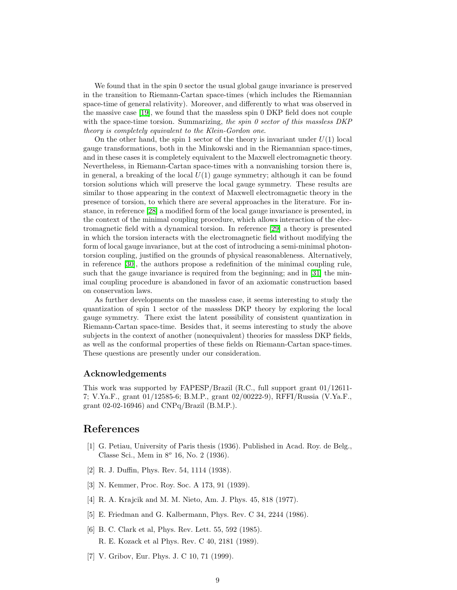We found that in the spin 0 sector the usual global gauge invariance is preserved in the transition to Riemann-Cartan space-times (which includes the Riemannian space-time of general relativity). Moreover, and differently to what was observed in the massive case [19], we found that the massless spin 0 DKP field does not couple with the space-time torsion. Summarizing, the spin  $\theta$  sector of this massless DKP theory is completely equivalent to the Klein-Gordon one.

On the other hand, the spin 1 sector of the theory is invariant under  $U(1)$  local gauge transformations, both in the Minkowski and in the Riemannian space-times, and in these cases it is completely equivalent to the Maxwell electromagnetic theory. Nevertheless, in Riemann-Cartan space-times with a nonvanishing torsion there is, in general, a breaking of the local  $U(1)$  gauge symmetry; although it can be found torsion solutions which will preserve the local gauge symmetry. These results are similar to those appearing in the context of Maxwell electromagnetic theory in the presence of torsion, to which there are several approaches in the literature. For instance, in reference [\[28\]](#page-9-13) a modified form of the local gauge invariance is presented, in the context of the minimal coupling procedure, which allows interaction of the electromagnetic field with a dynamical torsion. In reference [\[29\]](#page-9-14) a theory is presented in which the torsion interacts with the electromagnetic field without modifying the form of local gauge invariance, but at the cost of introducing a semi-minimal photontorsion coupling, justified on the grounds of physical reasonableness. Alternatively, in reference [\[30\]](#page-9-15), the authors propose a redefinition of the minimal coupling rule, such that the gauge invariance is required from the beginning; and in [\[31\]](#page-9-16) the minimal coupling procedure is abandoned in favor of an axiomatic construction based on conservation laws.

As further developments on the massless case, it seems interesting to study the quantization of spin 1 sector of the massless DKP theory by exploring the local gauge symmetry. There exist the latent possibility of consistent quantization in Riemann-Cartan space-time. Besides that, it seems interesting to study the above subjects in the context of another (nonequivalent) theories for massless DKP fields, as well as the conformal properties of these fields on Riemann-Cartan space-times. These questions are presently under our consideration.

### Acknowledgements

This work was supported by FAPESP/Brazil (R.C., full support grant 01/12611- 7; V.Ya.F., grant 01/12585-6; B.M.P., grant 02/00222-9), RFFI/Russia (V.Ya.F., grant 02-02-16946) and CNPq/Brazil (B.M.P.).

## <span id="page-8-0"></span>References

- [1] G. Petiau, University of Paris thesis (1936). Published in Acad. Roy. de Belg., Classe Sci., Mem in  $8^{\circ}$  16, No. 2 (1936).
- <span id="page-8-2"></span><span id="page-8-1"></span>[2] R. J. Duffin, Phys. Rev. 54, 1114 (1938).
- [3] N. Kemmer, Proc. Roy. Soc. A 173, 91 (1939).
- <span id="page-8-3"></span>[4] R. A. Krajcik and M. M. Nieto, Am. J. Phys. 45, 818 (1977).
- <span id="page-8-4"></span>[5] E. Friedman and G. Kalbermann, Phys. Rev. C 34, 2244 (1986).
- [6] B. C. Clark et al, Phys. Rev. Lett. 55, 592 (1985). R. E. Kozack et al Phys. Rev. C 40, 2181 (1989).
- <span id="page-8-5"></span>[7] V. Gribov, Eur. Phys. J. C 10, 71 (1999).